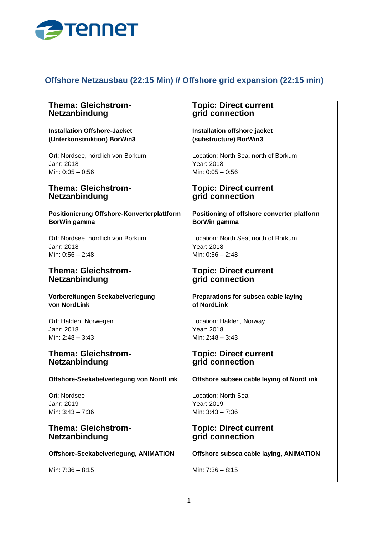

## **Offshore Netzausbau (22:15 Min) // Offshore grid expansion (22:15 min)**

| <b>Thema: Gleichstrom-</b>                                 | <b>Topic: Direct current</b>                               |
|------------------------------------------------------------|------------------------------------------------------------|
| <b>Netzanbindung</b>                                       | grid connection                                            |
| <b>Installation Offshore-Jacket</b>                        | Installation offshore jacket                               |
| (Unterkonstruktion) BorWin3                                | (substructure) BorWin3                                     |
| Ort: Nordsee, nördlich von Borkum                          | Location: North Sea, north of Borkum                       |
| Jahr: 2018                                                 | Year: 2018                                                 |
| Min: $0:05 - 0:56$                                         | Min: $0:05 - 0:56$                                         |
| <b>Thema: Gleichstrom-</b>                                 | <b>Topic: Direct current</b>                               |
| <b>Netzanbindung</b>                                       | grid connection                                            |
| Positionierung Offshore-Konverterplattform<br>BorWin gamma | Positioning of offshore converter platform<br>BorWin gamma |
| Ort: Nordsee, nördlich von Borkum                          | Location: North Sea, north of Borkum                       |
| Jahr: 2018                                                 | Year: 2018                                                 |
| Min: 0:56 - 2:48                                           | Min: $0:56 - 2:48$                                         |
| <b>Thema: Gleichstrom-</b>                                 | <b>Topic: Direct current</b>                               |
| <b>Netzanbindung</b>                                       | grid connection                                            |
| Vorbereitungen Seekabelverlegung<br>von NordLink           | Preparations for subsea cable laying<br>of NordLink        |
| Ort: Halden, Norwegen                                      | Location: Halden, Norway                                   |
| Jahr: 2018                                                 | Year: 2018                                                 |
| Min: $2:48 - 3:43$                                         | Min: $2:48 - 3:43$                                         |
| <b>Thema: Gleichstrom-</b>                                 | <b>Topic: Direct current</b>                               |
| <b>Netzanbindung</b>                                       | grid connection                                            |
| Offshore-Seekabelverlegung von NordLink                    | Offshore subsea cable laying of NordLink                   |
| Ort: Nordsee                                               | Location: North Sea                                        |
| Jahr: 2019                                                 | Year: 2019                                                 |
| Min: $3:43 - 7:36$                                         | Min: 3:43 - 7:36                                           |
| <b>Thema: Gleichstrom-</b><br>Netzanbindung                | <b>Topic: Direct current</b><br>grid connection            |
| Offshore-Seekabelverlegung, ANIMATION                      | Offshore subsea cable laying, ANIMATION                    |
| Min: 7:36 - 8:15                                           | Min: 7:36 - 8:15                                           |
|                                                            |                                                            |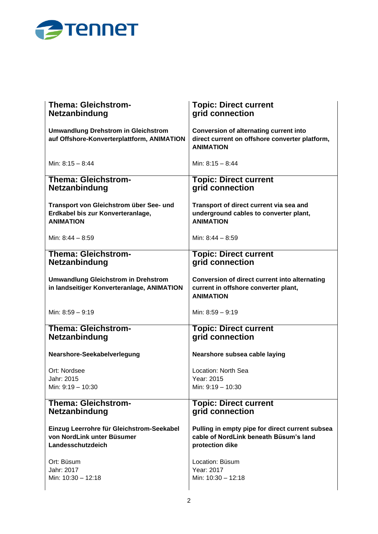

| <b>Thema: Gleichstrom-</b>                                                               | <b>Topic: Direct current</b>                                                                                        |
|------------------------------------------------------------------------------------------|---------------------------------------------------------------------------------------------------------------------|
| <b>Netzanbindung</b>                                                                     | grid connection                                                                                                     |
| <b>Umwandlung Drehstrom in Gleichstrom</b><br>auf Offshore-Konverterplattform, ANIMATION | <b>Conversion of alternating current into</b><br>direct current on offshore converter platform,<br><b>ANIMATION</b> |
| Min: $8:15 - 8:44$                                                                       | Min: $8:15 - 8:44$                                                                                                  |
| <b>Thema: Gleichstrom-</b>                                                               | <b>Topic: Direct current</b>                                                                                        |
| Netzanbindung                                                                            | grid connection                                                                                                     |
| Transport von Gleichstrom über See- und                                                  | Transport of direct current via sea and                                                                             |
| Erdkabel bis zur Konverteranlage,                                                        | underground cables to converter plant,                                                                              |
| <b>ANIMATION</b>                                                                         | <b>ANIMATION</b>                                                                                                    |
| Min: $8:44 - 8:59$                                                                       | Min: 8:44 - 8:59                                                                                                    |
| <b>Thema: Gleichstrom-</b>                                                               | <b>Topic: Direct current</b>                                                                                        |
| Netzanbindung                                                                            | grid connection                                                                                                     |
| <b>Umwandlung Gleichstrom in Drehstrom</b><br>in landseitiger Konverteranlage, ANIMATION | Conversion of direct current into alternating<br>current in offshore converter plant,<br><b>ANIMATION</b>           |
| Min: 8:59 - 9:19                                                                         | Min: 8:59 - 9:19                                                                                                    |
| <b>Thema: Gleichstrom-</b>                                                               | <b>Topic: Direct current</b>                                                                                        |
| <b>Netzanbindung</b>                                                                     | grid connection                                                                                                     |
| Nearshore-Seekabelverlegung                                                              | Nearshore subsea cable laying                                                                                       |
| Ort: Nordsee                                                                             | Location: North Sea                                                                                                 |
| Jahr: 2015                                                                               | Year: 2015                                                                                                          |
| Min: 9:19 - 10:30                                                                        | Min: 9:19 - 10:30                                                                                                   |
| <b>Thema: Gleichstrom-</b>                                                               | <b>Topic: Direct current</b>                                                                                        |
| <b>Netzanbindung</b>                                                                     | grid connection                                                                                                     |
| Einzug Leerrohre für Gleichstrom-Seekabel                                                | Pulling in empty pipe for direct current subsea                                                                     |
| von NordLink unter Büsumer                                                               | cable of NordLink beneath Büsum's land                                                                              |
| Landesschutzdeich                                                                        | protection dike                                                                                                     |
| Ort: Büsum                                                                               | Location: Büsum                                                                                                     |
| Jahr: 2017                                                                               | Year: 2017                                                                                                          |
| Min: 10:30 - 12:18                                                                       | Min: 10:30 - 12:18                                                                                                  |